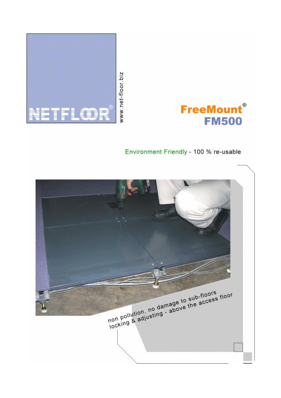



# Environment Friendly - 100 % re-usable

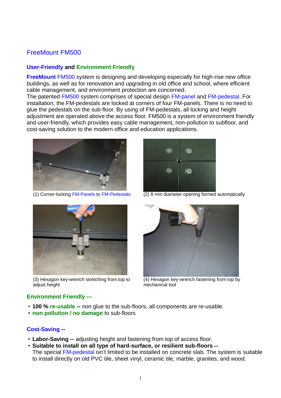# FreeMount FM500

# **User-Friendly and Environment Friendly**

**FreeMount** FM500 system is designing and developing especially for high-rise new office buildings, as well as for renovation and upgrading in old office and school, where efficient cable management, and environment protection are concerned.

The patented FM500 system comprises of special design FM-panel and FM-pedestal. For installation, the FM-pedestals are locked at corners of four FM-panels. There is no need to glue the pedestals on the sub-floor. By using of FM-pedestals, all locking and height adjustment are operated above the access floor. FM500 is a system of environment friendly and user-friendly, which provides easy cable management, non-pollution to subfloor, and cost-saving solution to the modern office and education applications.



(1) Corner-locking FM-Panels to FM-Pedestals (2) 8 mm diameter opening formed automatically



(3) Hexagon key-wrench stretching from top to adjust height

# **Environment Friendly ---**

- **100 % re-usable --** non glue to the sub-floors, all components are re-usable.
- **non pollution / no damage** to sub-floors

# **Cost-Saving --**

- **Labor-Saving --** adjusting height and fastening from top of access floor.
- **Suitable to install on all type of hard-surface, or resilient sub-floors --** The special FM-pedestal isn't limited to be installed on concrete slab. The system is suitable to install directly on old PVC tile, sheet vinyl, ceramic tile, marble, granites, and wood.





(4) Hexagon key-wrench fastening from top by mechanical tool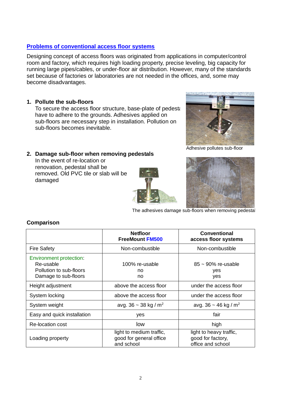# **Problems of conventional access floor systems**

Designing concept of access floors was originated from applications in computer/control room and factory, which requires high loading property, precise leveling, big capacity for running large pipes/cables, or under-floor air distribution. However, many of the standards set because of factories or laboratories are not needed in the offices, and, some may become disadvantages.

# **1. Pollute the sub-floors**

To secure the access floor structure, base-plate of pedestal have to adhere to the grounds. Adhesives applied on sub-floors are necessary step in installation. Pollution on sub-floors becomes inevitable.



Adhesive pollutes sub-floor

### **2. Damage sub-floor when removing pedestals**

In the event of re-location or renovation, pedestal shall be removed. Old PVC tile or slab will be damaged





The adhesives damage sub-floors when removing pedestal

|                                                                                         | <b>Netfloor</b><br><b>FreeMount FM500</b>                         | <b>Conventional</b><br>access floor systems                       |  |
|-----------------------------------------------------------------------------------------|-------------------------------------------------------------------|-------------------------------------------------------------------|--|
| <b>Fire Safety</b>                                                                      | Non-combustible                                                   | Non-combustible                                                   |  |
| Environment protection:<br>Re-usable<br>Pollution to sub-floors<br>Damage to sub-floors | 100% re-usable<br>no<br>no                                        | $85 \sim 90\%$ re-usable<br>yes<br>yes                            |  |
| Height adjustment                                                                       | above the access floor                                            | under the access floor                                            |  |
| System locking                                                                          | above the access floor                                            | under the access floor                                            |  |
| System weight                                                                           | avg. 36 ~ 38 kg / $m^2$                                           | avg. $36 \sim 46$ kg / m <sup>2</sup>                             |  |
| Easy and quick installation                                                             | yes                                                               | fair                                                              |  |
| Re-location cost                                                                        | low                                                               | high                                                              |  |
| Loading property                                                                        | light to medium traffic,<br>good for general office<br>and school | light to heavy traffic,<br>good for factory,<br>office and school |  |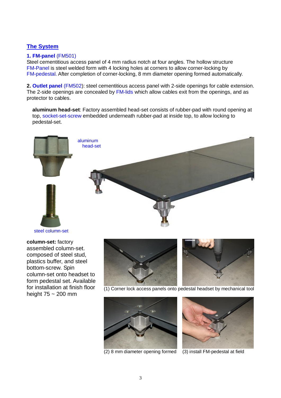# **The System**

## **1. FM-panel** (FM501)

Steel cementitious access panel of 4 mm radius notch at four angles. The hollow structure FM-Panel is steel welded form with 4 locking holes at corners to allow corner-locking by FM-pedestal. After completion of corner-locking, 8 mm diameter opening formed automatically.

**2. Outlet panel** (FM502): steel cementitious access panel with 2-side openings for cable extension. The 2-side openings are concealed by FM-lids which allow cables exit from the openings, and as protector to cables.

**aluminum head-set**: Factory assembled head-set consists of rubber-pad with round opening at top, socket-set-screw embedded underneath rubber-pad at inside top, to allow locking to pedestal-set.



**column-set:** factory assembled column-set. composed of steel stud, plastics buffer, and steel bottom-screw. Spin column-set onto headset to form pedestal set. Available for installation at finish floor height 75 ~ 200 mm





(1) Corner lock access panels onto pedestal headset by mechanical tool





(2) 8 mm diameter opening formed (3) install FM-pedestal at field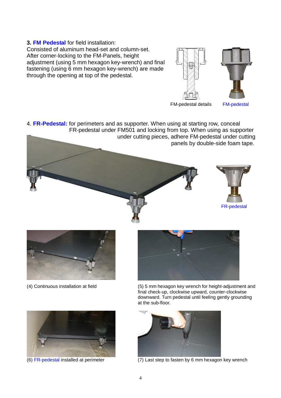#### **3. FM Pedestal** for field installation:

Consisted of aluminum head-set and column-set. After corner-locking to the FM-Panels, height adjustment (using 5 mm hexagon key-wrench) and final fastening (using 6 mm hexagon key-wrench) are made through the opening at top of the pedestal.





FM-pedestal details FM-pedestal

4. **FR-Pedestal:** for perimeters and as supporter. When using at starting row, conceal FR-pedestal under FM501 and locking from top. When using as supporter under cutting pieces, adhere FM-pedestal under cutting panels by double-side foam tape.







(4) Continuous installation at field (5) 5 mm hexagon key wrench for height-adjustment and final check-up, clockwise upward, counter-clockwise downward. Turn pedestal until feeling gently grounding at the sub-floor.





(6) FR-pedestal installed at perimeter (7) Last step to fasten by 6 mm hexagon key wrench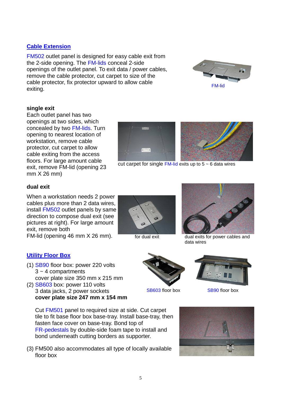# **Cable Extension**

FM502 outlet panel is designed for easy cable exit from the 2-side opening. The FM-lids conceal 2-side openings of the outlet panel. To exit data / power cables, remove the cable protector, cut carpet to size of the cable protector, fix protector upward to allow cable exiting. FM-lide exiting.

### **single exit**

Each outlet panel has two openings at two sides, which concealed by two FM-lids. Turn opening to nearest location of workstation, remove cable protector, cut carpet to allow cable exiting from the access floors. For large amount cable exit, remove FM-lid (opening 23 mm X 26 mm)

#### **dual exit**

When a workstation needs 2 power cables plus more than 2 data wires, install FM502 outlet panels by same direction to compose dual exit (see pictures at right). For large amount exit, remove both

FM-lid (opening 46 mm X 26 mm). For dual exit dual exits for power cables and

#### **Utility Floor Box**

- (1) SB90 floor box: power 220 volts  $3 \sim 4$  compartments cover plate size 350 mm x 215 mm
- (2) SB603 box: power 110 volts 3 data jacks, 2 power sockets **cover plate size 247 mm x 154 mm**

Cut FM501 panel to required size at side. Cut carpet tile to fit base floor box base-tray. Install base-tray, then fasten face cover on base-tray. Bond top of FR-pedestals by double-side foam tape to install and bond underneath cutting borders as supporter.

(3) FM500 also accommodates all type of locally available floor box

data wires

















 $\overline{\phantom{a}}$ cut carpet for single  $FM$ -lid exits up to  $5 \sim 6$  data wires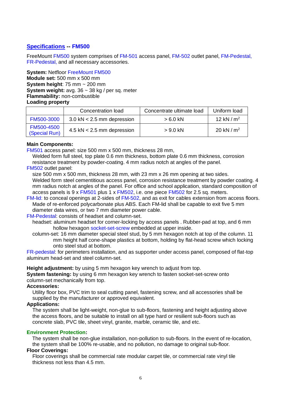# **Specifications -- FM500**

FreeMount FM500 system comprises of FM-501 access panel, FM-502 outlet panel, FM-Pedestal, FR-Pedestal, and all necessary accessories.

**System:** Netfloor FreeMount FM500 **Module set:** 500 mm x 500 mm **System height**: 75 mm ~ 200 mm **System weight:** avg. 36 ~ 38 kg / per sq. meter **Flammability:** non-combustible **Loading property**

|                             | Concentration load                           | Concentrate ultimate load | Uniform load |
|-----------------------------|----------------------------------------------|---------------------------|--------------|
| FM500-3000                  | $3.0 \text{ kN} < 2.5 \text{ mm}$ depression | $>6.0$ kN                 | 12 kN $/m2$  |
| FM500-4500<br>(Special Run) | $4.5$ kN $< 2.5$ mm depression               | $> 9.0$ kN                | 20 kN $/m2$  |

#### **Main Components:**

FM501 access panel: size 500 mm x 500 mm, thickness 28 mm,

Welded form full steel, top plate 0.6 mm thickness, bottom plate 0.6 mm thickness, corrosion resistance treatment by powder-coating. 4 mm radius notch at angles of the panel.

#### FM502 outlet panel:

size 500 mm x 500 mm, thickness 28 mm, with 23 mm x 26 mm opening at two sides. Welded form steel cementitious access panel, corrosion resistance treatment by powder coating. 4 mm radius notch at angles of the panel. For office and school application, standard composition of access panels is 9 x FM501 plus 1 x FM502, i.e. one piece FM502 for 2.5 sq. meters.

FM-lid: to conceal openings at 2-sides of FM-502, and as exit for cables extension from access floors. Made of re-enforced polycarbonate plus ABS. Each FM-lid shall be capable to exit five 5 mm diameter data wires, or two 7 mm diameter power cable.

FM-Pedestal: consists of headset and column-set.

- headset: aluminum headset for corner-locking by access panels . Rubber-pad at top, and 6 mm hollow hexagon socket-set-screw embedded at upper inside.
- column-set: 16 mm diameter special steel stud, by 5 mm hexagon notch at top of the column. 11 mm height half cone-shape plastics at bottom, holding by flat-head screw which locking onto steel stud at bottom.

FR-pedestal: for perimeters installation, and as supporter under access panel, composed of flat-top aluminum head-set and steel column-set.

**Height adjustment:** by using 5 mm hexagon key wrench to adjust from top.

**System fastening:** by using 6 mm hexagon key wrench to fasten socket-set-screw onto column-set mechanically from top.

#### **Accessories:**

Utility floor box, PVC trim to seal cutting panel, fastening screw, and all accessories shall be supplied by the manufacturer or approved equivalent.

#### **Applications:**

The system shall be light-weight, non-glue to sub-floors, fastening and height adjusting above the access floors, and be suitable to install on all type hard or resilient sub-floors such as concrete slab, PVC tile, sheet vinyl, granite, marble, ceramic tile, and etc.

#### **Environment Protection:**

The system shall be non-glue installation, non-pollution to sub-floors. In the event of re-location, the system shall be 100% re-usable, and no pollution, no damage to original sub-floor.

# **Floor Coverings:**

Floor coverings shall be commercial rate modular carpet tile, or commercial rate vinyl tile thickness not less than 4.5 mm.